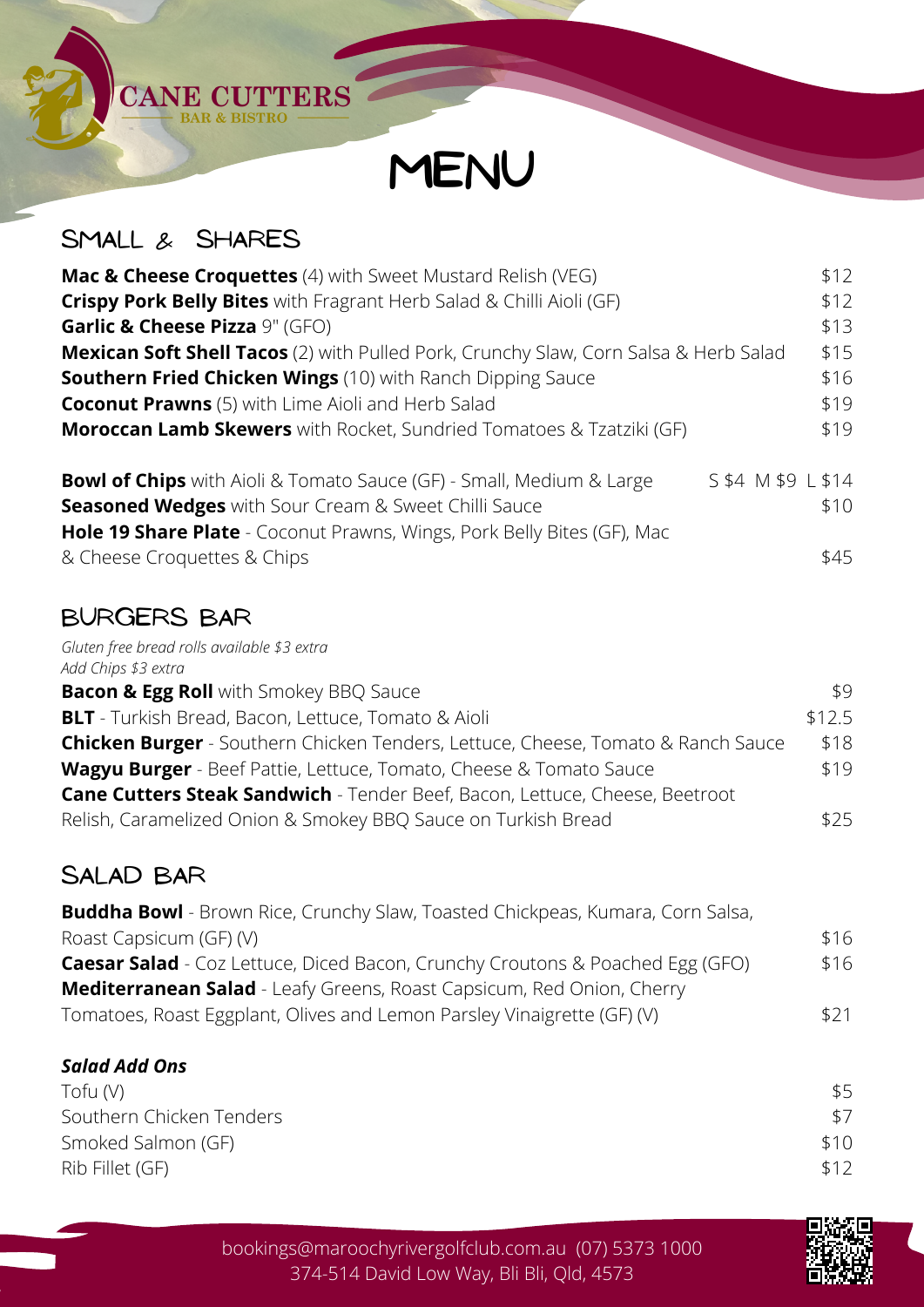

### Small & Shares

**CANE CUTTERS** 

| Mac & Cheese Croquettes (4) with Sweet Mustard Relish (VEG)                                       | \$12 |
|---------------------------------------------------------------------------------------------------|------|
| Crispy Pork Belly Bites with Fragrant Herb Salad & Chilli Aioli (GF)                              | \$12 |
| Garlic & Cheese Pizza 9" (GFO)                                                                    | \$13 |
| <b>Mexican Soft Shell Tacos</b> (2) with Pulled Pork, Crunchy Slaw, Corn Salsa & Herb Salad       | \$15 |
| <b>Southern Fried Chicken Wings</b> (10) with Ranch Dipping Sauce                                 | \$16 |
| <b>Coconut Prawns</b> (5) with Lime Aioli and Herb Salad                                          | \$19 |
| <b>Moroccan Lamb Skewers</b> with Rocket, Sundried Tomatoes & Tzatziki (GF)                       | \$19 |
| S \$4 M \$9 L \$14<br><b>Bowl of Chips</b> with Aioli & Tomato Sauce (GF) - Small, Medium & Large |      |
| <b>Seasoned Wedges</b> with Sour Cream & Sweet Chilli Sauce                                       | \$10 |
| Hole 19 Share Plate - Coconut Prawns, Wings, Pork Belly Bites (GF), Mac                           |      |
| & Cheese Croquettes & Chips                                                                       | \$45 |

# Burgers Bar

*Gluten free bread rolls available \$3 extra Add Chips \$3 extra*

| <b>Bacon &amp; Egg Roll</b> with Smokey BBQ Sauce                                       | \$9    |
|-----------------------------------------------------------------------------------------|--------|
| <b>BLT</b> - Turkish Bread, Bacon, Lettuce, Tomato & Aioli                              | \$12.5 |
| <b>Chicken Burger</b> - Southern Chicken Tenders, Lettuce, Cheese, Tomato & Ranch Sauce | \$18   |
| <b>Wagyu Burger</b> - Beef Pattie, Lettuce, Tomato, Cheese & Tomato Sauce               | \$19   |
| <b>Cane Cutters Steak Sandwich</b> - Tender Beef, Bacon, Lettuce, Cheese, Beetroot      |        |
| Relish, Caramelized Onion & Smokey BBQ Sauce on Turkish Bread                           | \$25   |
|                                                                                         |        |

# Salad Bar

| <b>Buddha Bowl</b> - Brown Rice, Crunchy Slaw, Toasted Chickpeas, Kumara, Corn Salsa, |      |
|---------------------------------------------------------------------------------------|------|
| Roast Capsicum (GF) (V)                                                               | \$16 |
| <b>Caesar Salad</b> - Coz Lettuce, Diced Bacon, Crunchy Croutons & Poached Egg (GFO)  | \$16 |
| <b>Mediterranean Salad</b> - Leafy Greens, Roast Capsicum, Red Onion, Cherry          |      |
| Tomatoes, Roast Eggplant, Olives and Lemon Parsley Vinaigrette (GF) (V)               | \$21 |

#### *Salad Add Ons*

| Tofu (V)                 | \$5  |
|--------------------------|------|
| Southern Chicken Tenders |      |
| Smoked Salmon (GF)       | \$10 |
| Rib Fillet (GF)          | \$12 |